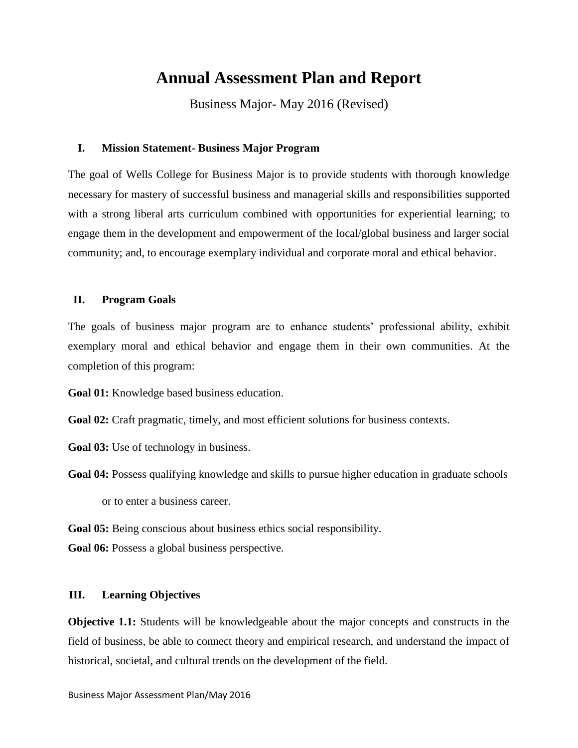# **Annual Assessment Plan and Report**

Business Major- May 2016 (Revised)

#### **I. Mission Statement- Business Major Program**

The goal of Wells College for Business Major is to provide students with thorough knowledge necessary for mastery of successful business and managerial skills and responsibilities supported with a strong liberal arts curriculum combined with opportunities for experiential learning; to engage them in the development and empowerment of the local/global business and larger social community; and, to encourage exemplary individual and corporate moral and ethical behavior.

#### **II. Program Goals**

The goals of business major program are to enhance students' professional ability, exhibit exemplary moral and ethical behavior and engage them in their own communities. At the completion of this program:

**Goal 01:** Knowledge based business education.

Goal 02: Craft pragmatic, timely, and most efficient solutions for business contexts.

**Goal 03:** Use of technology in business.

Goal 04: Possess qualifying knowledge and skills to pursue higher education in graduate schools or to enter a business career.

**Goal 05:** Being conscious about business ethics social responsibility.

Goal 06: Possess a global business perspective.

#### **III. Learning Objectives**

**Objective 1.1:** Students will be knowledgeable about the major concepts and constructs in the field of business, be able to connect theory and empirical research, and understand the impact of historical, societal, and cultural trends on the development of the field.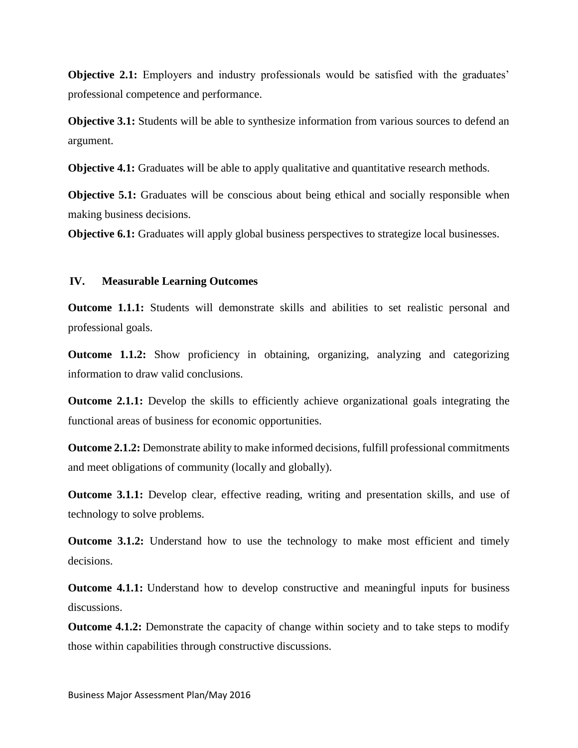**Objective 2.1:** Employers and industry professionals would be satisfied with the graduates' professional competence and performance.

**Objective 3.1:** Students will be able to synthesize information from various sources to defend an argument.

**Objective 4.1:** Graduates will be able to apply qualitative and quantitative research methods.

**Objective 5.1:** Graduates will be conscious about being ethical and socially responsible when making business decisions.

**Objective 6.1:** Graduates will apply global business perspectives to strategize local businesses.

#### **IV. Measurable Learning Outcomes**

**Outcome 1.1.1:** Students will demonstrate skills and abilities to set realistic personal and professional goals.

**Outcome 1.1.2:** Show proficiency in obtaining, organizing, analyzing and categorizing information to draw valid conclusions.

**Outcome 2.1.1:** Develop the skills to efficiently achieve organizational goals integrating the functional areas of business for economic opportunities.

**Outcome 2.1.2:** Demonstrate ability to make informed decisions, fulfill professional commitments and meet obligations of community (locally and globally).

**Outcome 3.1.1:** Develop clear, effective reading, writing and presentation skills, and use of technology to solve problems.

**Outcome 3.1.2:** Understand how to use the technology to make most efficient and timely decisions.

**Outcome 4.1.1:** Understand how to develop constructive and meaningful inputs for business discussions.

**Outcome 4.1.2:** Demonstrate the capacity of change within society and to take steps to modify those within capabilities through constructive discussions.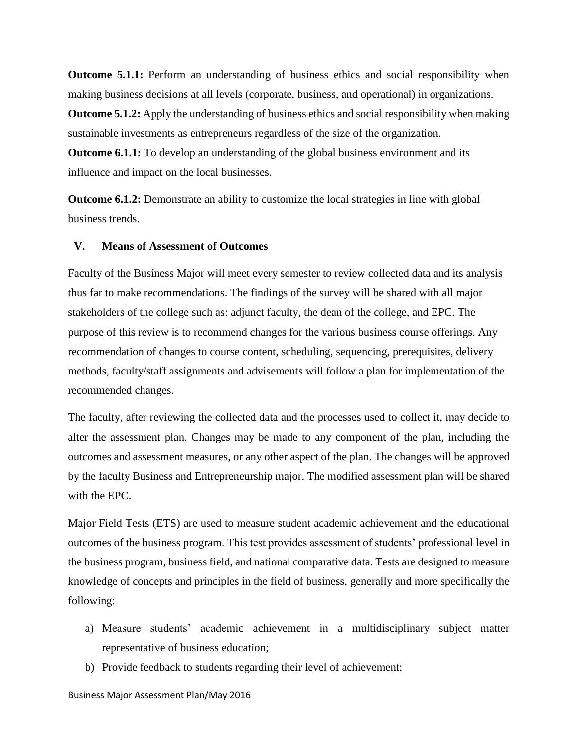**Outcome 5.1.1:** Perform an understanding of business ethics and social responsibility when making business decisions at all levels (corporate, business, and operational) in organizations.

**Outcome 5.1.2:** Apply the understanding of business ethics and social responsibility when making sustainable investments as entrepreneurs regardless of the size of the organization.

**Outcome 6.1.1:** To develop an understanding of the global business environment and its influence and impact on the local businesses.

**Outcome 6.1.2:** Demonstrate an ability to customize the local strategies in line with global business trends.

#### **V. Means of Assessment of Outcomes**

Faculty of the Business Major will meet every semester to review collected data and its analysis thus far to make recommendations. The findings of the survey will be shared with all major stakeholders of the college such as: adjunct faculty, the dean of the college, and EPC. The purpose of this review is to recommend changes for the various business course offerings. Any recommendation of changes to course content, scheduling, sequencing, prerequisites, delivery methods, faculty/staff assignments and advisements will follow a plan for implementation of the recommended changes.

The faculty, after reviewing the collected data and the processes used to collect it, may decide to alter the assessment plan. Changes may be made to any component of the plan, including the outcomes and assessment measures, or any other aspect of the plan. The changes will be approved by the faculty Business and Entrepreneurship major. The modified assessment plan will be shared with the EPC.

Major Field Tests (ETS) are used to measure student academic achievement and the educational outcomes of the business program. This test provides assessment of students' professional level in the business program, business field, and national comparative data. Tests are designed to measure knowledge of concepts and principles in the field of business, generally and more specifically the following:

- a) Measure students' academic achievement in a multidisciplinary subject matter representative of business education;
- b) Provide feedback to students regarding their level of achievement;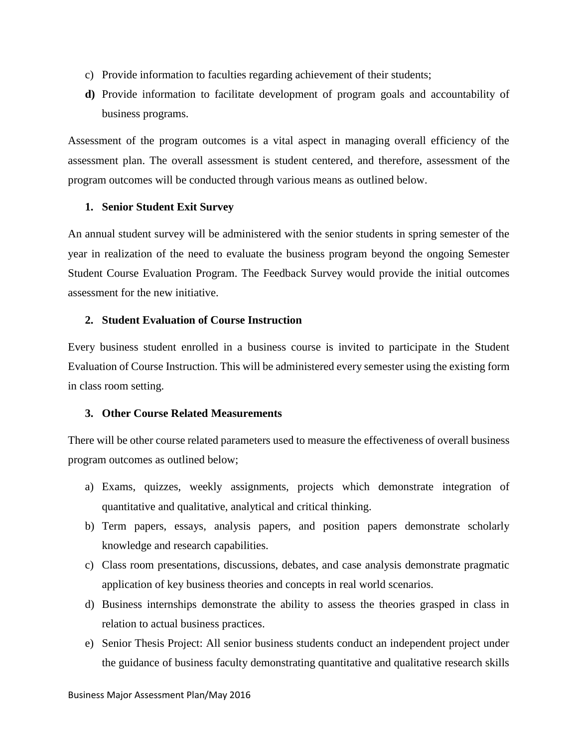- c) Provide information to faculties regarding achievement of their students;
- **d)** Provide information to facilitate development of program goals and accountability of business programs.

Assessment of the program outcomes is a vital aspect in managing overall efficiency of the assessment plan. The overall assessment is student centered, and therefore, assessment of the program outcomes will be conducted through various means as outlined below.

## **1. Senior Student Exit Survey**

An annual student survey will be administered with the senior students in spring semester of the year in realization of the need to evaluate the business program beyond the ongoing Semester Student Course Evaluation Program. The Feedback Survey would provide the initial outcomes assessment for the new initiative.

## **2. Student Evaluation of Course Instruction**

Every business student enrolled in a business course is invited to participate in the Student Evaluation of Course Instruction. This will be administered every semester using the existing form in class room setting.

# **3. Other Course Related Measurements**

There will be other course related parameters used to measure the effectiveness of overall business program outcomes as outlined below;

- a) Exams, quizzes, weekly assignments, projects which demonstrate integration of quantitative and qualitative, analytical and critical thinking.
- b) Term papers, essays, analysis papers, and position papers demonstrate scholarly knowledge and research capabilities.
- c) Class room presentations, discussions, debates, and case analysis demonstrate pragmatic application of key business theories and concepts in real world scenarios.
- d) Business internships demonstrate the ability to assess the theories grasped in class in relation to actual business practices.
- e) Senior Thesis Project: All senior business students conduct an independent project under the guidance of business faculty demonstrating quantitative and qualitative research skills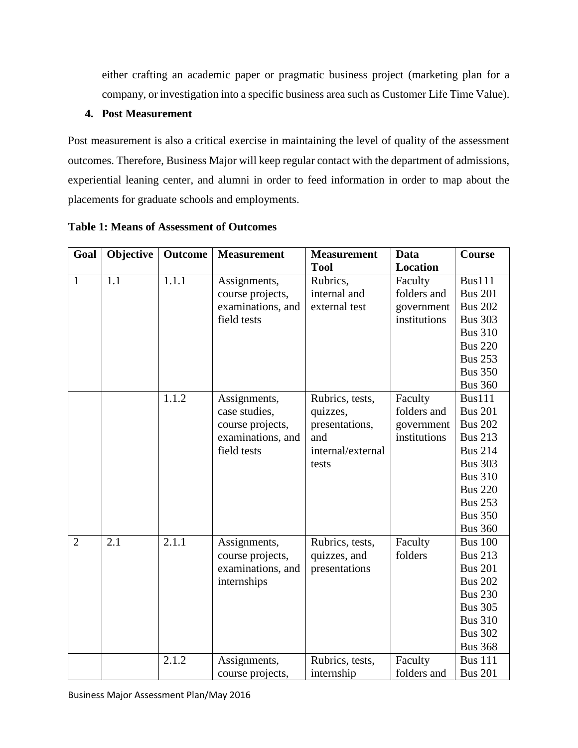either crafting an academic paper or pragmatic business project (marketing plan for a company, or investigation into a specific business area such as Customer Life Time Value).

# **4. Post Measurement**

Post measurement is also a critical exercise in maintaining the level of quality of the assessment outcomes. Therefore, Business Major will keep regular contact with the department of admissions, experiential leaning center, and alumni in order to feed information in order to map about the placements for graduate schools and employments.

| Goal           | Objective | Outcome | <b>Measurement</b> | <b>Measurement</b> | Data            | Course         |
|----------------|-----------|---------|--------------------|--------------------|-----------------|----------------|
|                |           |         |                    | <b>Tool</b>        | <b>Location</b> |                |
| $\mathbf{1}$   | 1.1       | 1.1.1   | Assignments,       | Rubrics,           | Faculty         | <b>Bus111</b>  |
|                |           |         | course projects,   | internal and       | folders and     | <b>Bus 201</b> |
|                |           |         | examinations, and  | external test      | government      | <b>Bus 202</b> |
|                |           |         | field tests        |                    | institutions    | <b>Bus 303</b> |
|                |           |         |                    |                    |                 | <b>Bus 310</b> |
|                |           |         |                    |                    |                 | <b>Bus 220</b> |
|                |           |         |                    |                    |                 | <b>Bus 253</b> |
|                |           |         |                    |                    |                 | <b>Bus 350</b> |
|                |           |         |                    |                    |                 | <b>Bus 360</b> |
|                |           | 1.1.2   | Assignments,       | Rubrics, tests,    | Faculty         | <b>Bus111</b>  |
|                |           |         | case studies,      | quizzes,           | folders and     | <b>Bus 201</b> |
|                |           |         | course projects,   | presentations,     | government      | <b>Bus 202</b> |
|                |           |         | examinations, and  | and                | institutions    | <b>Bus 213</b> |
|                |           |         | field tests        | internal/external  |                 | <b>Bus 214</b> |
|                |           |         |                    | tests              |                 | <b>Bus 303</b> |
|                |           |         |                    |                    |                 | <b>Bus 310</b> |
|                |           |         |                    |                    |                 | <b>Bus 220</b> |
|                |           |         |                    |                    |                 | <b>Bus 253</b> |
|                |           |         |                    |                    |                 | <b>Bus 350</b> |
|                |           |         |                    |                    |                 | <b>Bus 360</b> |
| $\overline{2}$ | 2.1       | 2.1.1   | Assignments,       | Rubrics, tests,    | Faculty         | <b>Bus 100</b> |
|                |           |         | course projects,   | quizzes, and       | folders         | <b>Bus 213</b> |
|                |           |         | examinations, and  | presentations      |                 | <b>Bus 201</b> |
|                |           |         | internships        |                    |                 | <b>Bus 202</b> |
|                |           |         |                    |                    |                 | <b>Bus 230</b> |
|                |           |         |                    |                    |                 | <b>Bus 305</b> |
|                |           |         |                    |                    |                 | <b>Bus 310</b> |
|                |           |         |                    |                    |                 | <b>Bus 302</b> |
|                |           |         |                    |                    |                 | <b>Bus 368</b> |
|                |           | 2.1.2   | Assignments,       | Rubrics, tests,    | Faculty         | <b>Bus 111</b> |
|                |           |         | course projects,   | internship         | folders and     | <b>Bus 201</b> |

**Table 1: Means of Assessment of Outcomes**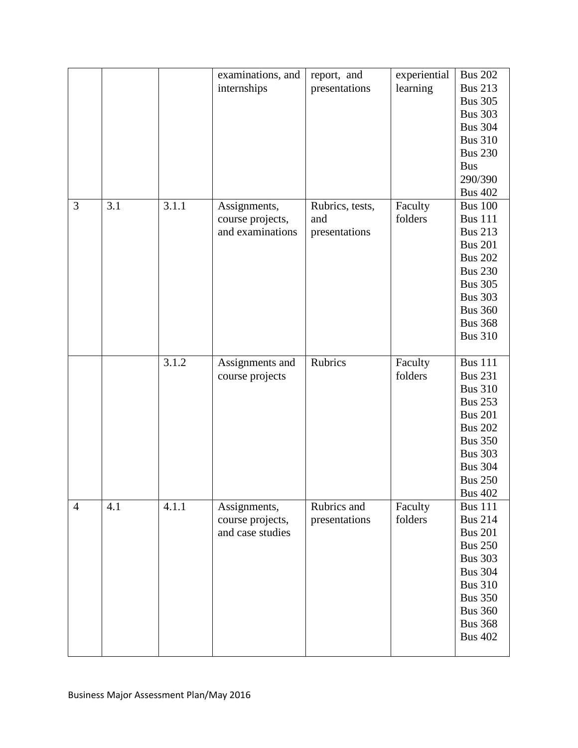|                |     |       | examinations, and<br>internships                     | report, and<br>presentations            | experiential<br>learning | <b>Bus 202</b><br><b>Bus 213</b><br><b>Bus 305</b><br><b>Bus 303</b><br><b>Bus 304</b><br><b>Bus 310</b><br><b>Bus 230</b><br><b>Bus</b><br>290/390<br><b>Bus 402</b>                              |
|----------------|-----|-------|------------------------------------------------------|-----------------------------------------|--------------------------|----------------------------------------------------------------------------------------------------------------------------------------------------------------------------------------------------|
| 3              | 3.1 | 3.1.1 | Assignments,<br>course projects,<br>and examinations | Rubrics, tests,<br>and<br>presentations | Faculty<br>folders       | <b>Bus 100</b><br><b>Bus 111</b><br><b>Bus 213</b><br><b>Bus 201</b><br><b>Bus 202</b><br><b>Bus 230</b><br><b>Bus 305</b><br><b>Bus 303</b><br><b>Bus 360</b><br><b>Bus 368</b><br><b>Bus 310</b> |
|                |     | 3.1.2 | Assignments and<br>course projects                   | Rubrics                                 | Faculty<br>folders       | <b>Bus 111</b><br><b>Bus 231</b><br><b>Bus 310</b><br><b>Bus 253</b><br><b>Bus 201</b><br><b>Bus 202</b><br><b>Bus 350</b><br><b>Bus 303</b><br><b>Bus 304</b><br><b>Bus 250</b><br><b>Bus 402</b> |
| $\overline{4}$ | 4.1 | 4.1.1 | Assignments,<br>course projects,<br>and case studies | Rubrics and<br>presentations            | Faculty<br>folders       | <b>Bus 111</b><br><b>Bus 214</b><br><b>Bus 201</b><br><b>Bus 250</b><br><b>Bus 303</b><br><b>Bus 304</b><br><b>Bus 310</b><br><b>Bus 350</b><br><b>Bus 360</b><br><b>Bus 368</b><br><b>Bus 402</b> |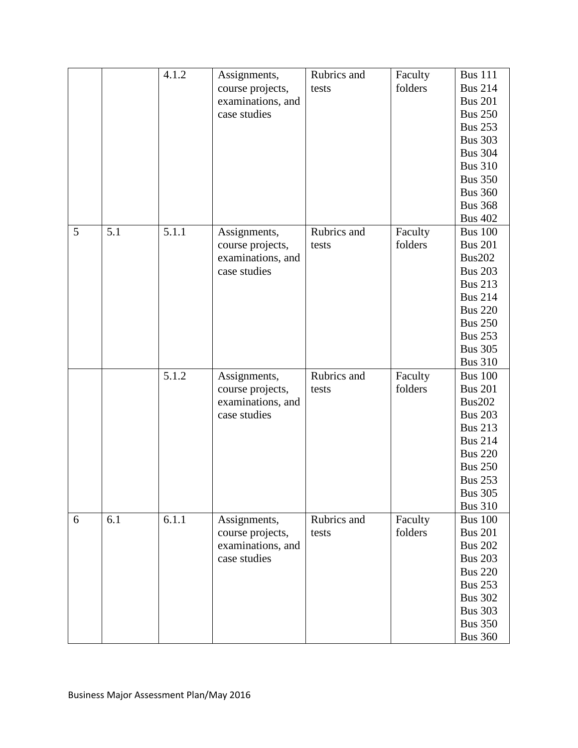|   |     | 4.1.2 | Assignments,      | Rubrics and | Faculty | <b>Bus 111</b> |
|---|-----|-------|-------------------|-------------|---------|----------------|
|   |     |       | course projects,  | tests       | folders | <b>Bus 214</b> |
|   |     |       | examinations, and |             |         | <b>Bus 201</b> |
|   |     |       | case studies      |             |         | <b>Bus 250</b> |
|   |     |       |                   |             |         | <b>Bus 253</b> |
|   |     |       |                   |             |         | <b>Bus 303</b> |
|   |     |       |                   |             |         | <b>Bus 304</b> |
|   |     |       |                   |             |         | <b>Bus 310</b> |
|   |     |       |                   |             |         | <b>Bus 350</b> |
|   |     |       |                   |             |         | <b>Bus 360</b> |
|   |     |       |                   |             |         | <b>Bus 368</b> |
|   |     |       |                   |             |         | <b>Bus 402</b> |
| 5 | 5.1 | 5.1.1 | Assignments,      | Rubrics and | Faculty | <b>Bus 100</b> |
|   |     |       | course projects,  | tests       | folders | <b>Bus 201</b> |
|   |     |       | examinations, and |             |         | <b>Bus202</b>  |
|   |     |       | case studies      |             |         | <b>Bus 203</b> |
|   |     |       |                   |             |         | <b>Bus 213</b> |
|   |     |       |                   |             |         | <b>Bus 214</b> |
|   |     |       |                   |             |         | <b>Bus 220</b> |
|   |     |       |                   |             |         | <b>Bus 250</b> |
|   |     |       |                   |             |         | <b>Bus 253</b> |
|   |     |       |                   |             |         | <b>Bus 305</b> |
|   |     |       |                   |             |         | <b>Bus 310</b> |
|   |     | 5.1.2 | Assignments,      | Rubrics and | Faculty | <b>Bus 100</b> |
|   |     |       | course projects,  | tests       | folders | <b>Bus 201</b> |
|   |     |       | examinations, and |             |         | <b>Bus202</b>  |
|   |     |       | case studies      |             |         | <b>Bus 203</b> |
|   |     |       |                   |             |         | <b>Bus 213</b> |
|   |     |       |                   |             |         | <b>Bus 214</b> |
|   |     |       |                   |             |         | <b>Bus 220</b> |
|   |     |       |                   |             |         | <b>Bus 250</b> |
|   |     |       |                   |             |         | <b>Bus 253</b> |
|   |     |       |                   |             |         | <b>Bus 305</b> |
|   |     |       |                   |             |         | <b>Bus 310</b> |
| 6 | 6.1 | 6.1.1 | Assignments,      | Rubrics and | Faculty | <b>Bus 100</b> |
|   |     |       | course projects,  | tests       | folders | <b>Bus 201</b> |
|   |     |       | examinations, and |             |         | <b>Bus 202</b> |
|   |     |       | case studies      |             |         | <b>Bus 203</b> |
|   |     |       |                   |             |         | <b>Bus 220</b> |
|   |     |       |                   |             |         | <b>Bus 253</b> |
|   |     |       |                   |             |         | <b>Bus 302</b> |
|   |     |       |                   |             |         | <b>Bus 303</b> |
|   |     |       |                   |             |         | <b>Bus 350</b> |
|   |     |       |                   |             |         | <b>Bus 360</b> |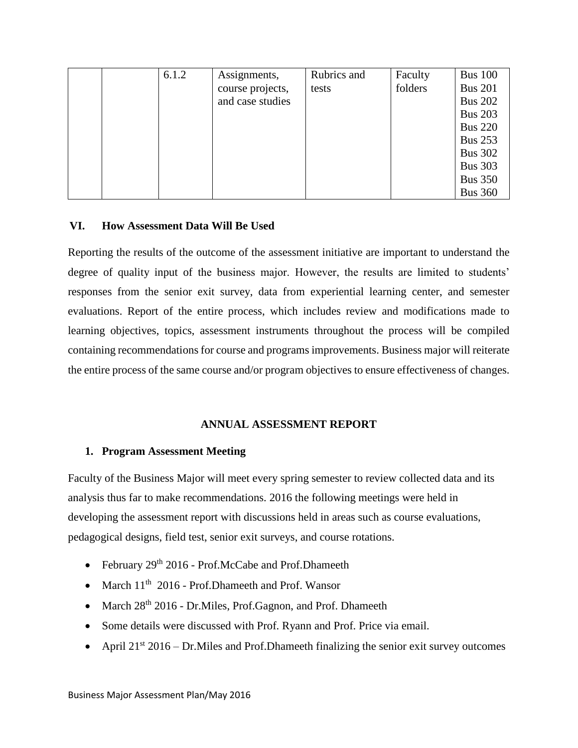|  | 6.1.2 | Assignments,     | Rubrics and | Faculty | <b>Bus 100</b> |
|--|-------|------------------|-------------|---------|----------------|
|  |       | course projects, | tests       | folders | <b>Bus 201</b> |
|  |       | and case studies |             |         | <b>Bus 202</b> |
|  |       |                  |             |         | <b>Bus 203</b> |
|  |       |                  |             |         | <b>Bus 220</b> |
|  |       |                  |             |         | <b>Bus 253</b> |
|  |       |                  |             |         | <b>Bus 302</b> |
|  |       |                  |             |         | <b>Bus 303</b> |
|  |       |                  |             |         | <b>Bus 350</b> |
|  |       |                  |             |         | <b>Bus 360</b> |

#### **VI. How Assessment Data Will Be Used**

Reporting the results of the outcome of the assessment initiative are important to understand the degree of quality input of the business major. However, the results are limited to students' responses from the senior exit survey, data from experiential learning center, and semester evaluations. Report of the entire process, which includes review and modifications made to learning objectives, topics, assessment instruments throughout the process will be compiled containing recommendations for course and programs improvements. Business major will reiterate the entire process of the same course and/or program objectives to ensure effectiveness of changes.

#### **ANNUAL ASSESSMENT REPORT**

#### **1. Program Assessment Meeting**

Faculty of the Business Major will meet every spring semester to review collected data and its analysis thus far to make recommendations. 2016 the following meetings were held in developing the assessment report with discussions held in areas such as course evaluations, pedagogical designs, field test, senior exit surveys, and course rotations.

- February  $29<sup>th</sup> 2016$  Prof.McCabe and Prof.Dhameeth
- March  $11<sup>th</sup>$  2016 Prof. Dhameeth and Prof. Wansor
- March 28<sup>th</sup> 2016 Dr. Miles, Prof. Gagnon, and Prof. Dhameeth
- Some details were discussed with Prof. Ryann and Prof. Price via email.
- April  $21^{st}$  2016 Dr. Miles and Prof. Dhameeth finalizing the senior exit survey outcomes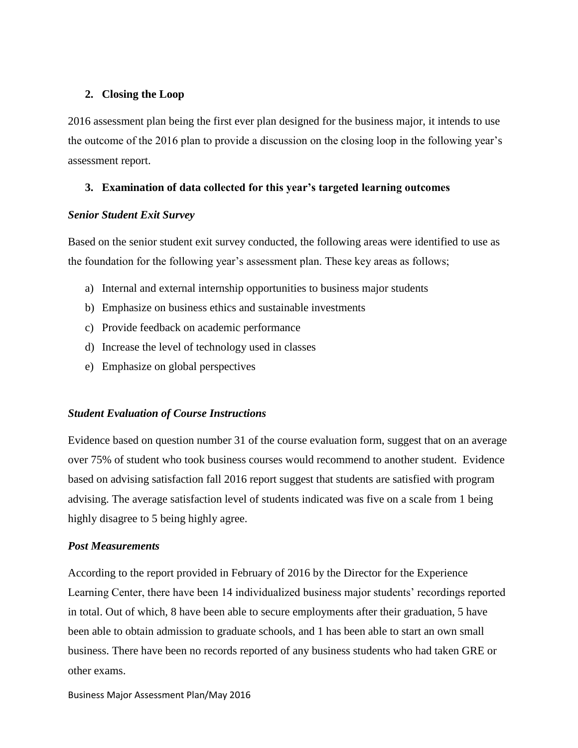### **2. Closing the Loop**

2016 assessment plan being the first ever plan designed for the business major, it intends to use the outcome of the 2016 plan to provide a discussion on the closing loop in the following year's assessment report.

## **3. Examination of data collected for this year's targeted learning outcomes**

#### *Senior Student Exit Survey*

Based on the senior student exit survey conducted, the following areas were identified to use as the foundation for the following year's assessment plan. These key areas as follows;

- a) Internal and external internship opportunities to business major students
- b) Emphasize on business ethics and sustainable investments
- c) Provide feedback on academic performance
- d) Increase the level of technology used in classes
- e) Emphasize on global perspectives

#### *Student Evaluation of Course Instructions*

Evidence based on question number 31 of the course evaluation form, suggest that on an average over 75% of student who took business courses would recommend to another student. Evidence based on advising satisfaction fall 2016 report suggest that students are satisfied with program advising. The average satisfaction level of students indicated was five on a scale from 1 being highly disagree to 5 being highly agree.

# *Post Measurements*

According to the report provided in February of 2016 by the Director for the Experience Learning Center, there have been 14 individualized business major students' recordings reported in total. Out of which, 8 have been able to secure employments after their graduation, 5 have been able to obtain admission to graduate schools, and 1 has been able to start an own small business. There have been no records reported of any business students who had taken GRE or other exams.